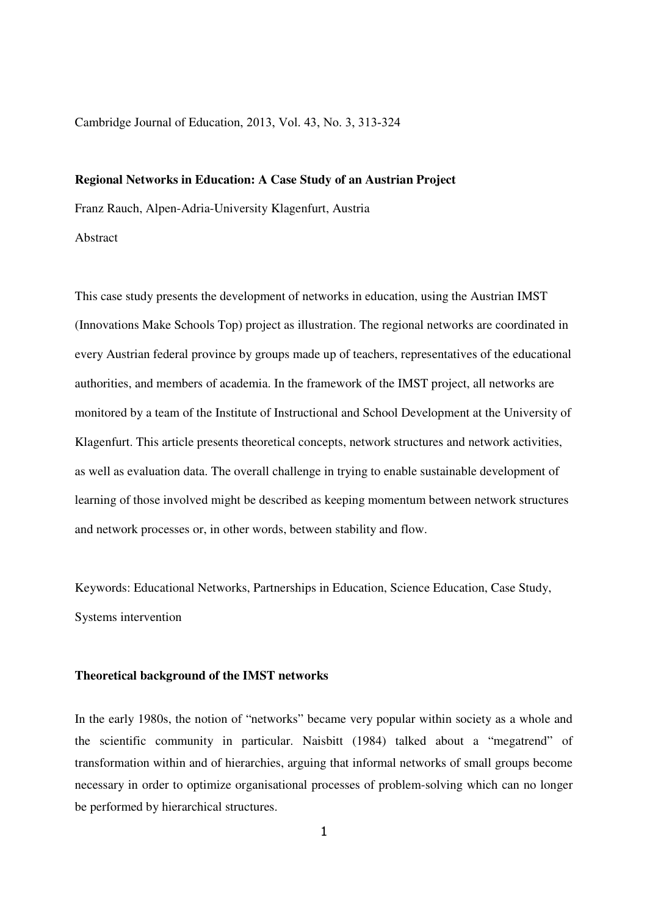Cambridge Journal of Education, 2013, Vol. 43, No. 3, 313-324

#### **Regional Networks in Education: A Case Study of an Austrian Project**

Franz Rauch, Alpen-Adria-University Klagenfurt, Austria

Abstract

This case study presents the development of networks in education, using the Austrian IMST (Innovations Make Schools Top) project as illustration. The regional networks are coordinated in every Austrian federal province by groups made up of teachers, representatives of the educational authorities, and members of academia. In the framework of the IMST project, all networks are monitored by a team of the Institute of Instructional and School Development at the University of Klagenfurt. This article presents theoretical concepts, network structures and network activities, as well as evaluation data. The overall challenge in trying to enable sustainable development of learning of those involved might be described as keeping momentum between network structures and network processes or, in other words, between stability and flow.

Keywords: Educational Networks, Partnerships in Education, Science Education, Case Study, Systems intervention

# **Theoretical background of the IMST networks**

In the early 1980s, the notion of "networks" became very popular within society as a whole and the scientific community in particular. Naisbitt (1984) talked about a "megatrend" of transformation within and of hierarchies, arguing that informal networks of small groups become necessary in order to optimize organisational processes of problem-solving which can no longer be performed by hierarchical structures.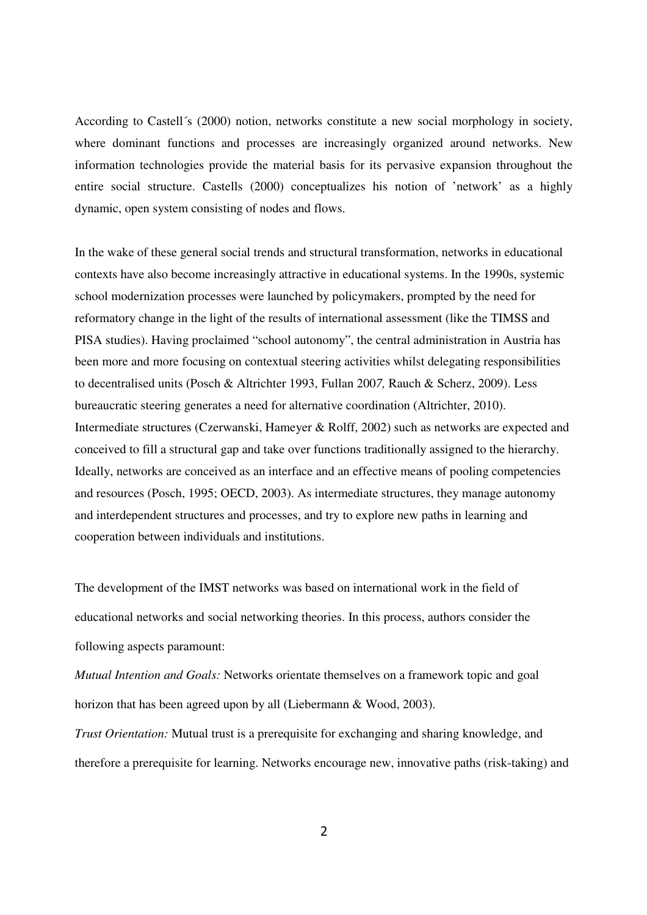According to Castell´s (2000) notion, networks constitute a new social morphology in society, where dominant functions and processes are increasingly organized around networks. New information technologies provide the material basis for its pervasive expansion throughout the entire social structure. Castells (2000) conceptualizes his notion of 'network' as a highly dynamic, open system consisting of nodes and flows.

In the wake of these general social trends and structural transformation, networks in educational contexts have also become increasingly attractive in educational systems. In the 1990s, systemic school modernization processes were launched by policymakers, prompted by the need for reformatory change in the light of the results of international assessment (like the TIMSS and PISA studies). Having proclaimed "school autonomy", the central administration in Austria has been more and more focusing on contextual steering activities whilst delegating responsibilities to decentralised units (Posch & Altrichter 1993, Fullan 200*7,* Rauch & Scherz, 2009). Less bureaucratic steering generates a need for alternative coordination (Altrichter, 2010). Intermediate structures (Czerwanski, Hameyer & Rolff, 2002) such as networks are expected and conceived to fill a structural gap and take over functions traditionally assigned to the hierarchy. Ideally, networks are conceived as an interface and an effective means of pooling competencies and resources (Posch, 1995; OECD, 2003). As intermediate structures, they manage autonomy and interdependent structures and processes, and try to explore new paths in learning and cooperation between individuals and institutions.

The development of the IMST networks was based on international work in the field of educational networks and social networking theories. In this process, authors consider the following aspects paramount:

*Mutual Intention and Goals:* Networks orientate themselves on a framework topic and goal horizon that has been agreed upon by all (Liebermann & Wood, 2003).

*Trust Orientation:* Mutual trust is a prerequisite for exchanging and sharing knowledge, and therefore a prerequisite for learning. Networks encourage new, innovative paths (risk-taking) and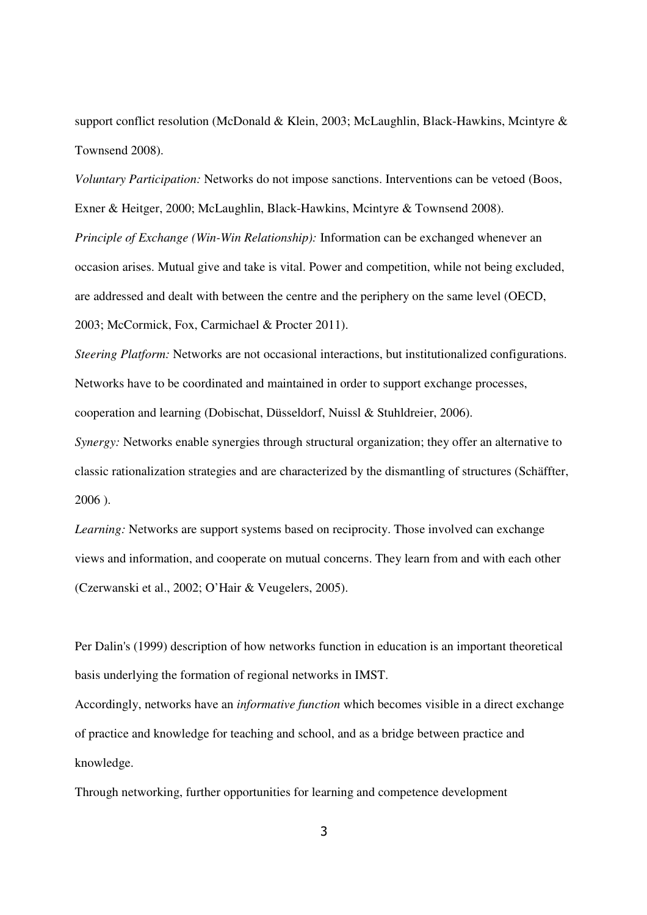support conflict resolution (McDonald & Klein, 2003; McLaughlin, Black-Hawkins, Mcintyre & Townsend 2008).

*Voluntary Participation:* Networks do not impose sanctions. Interventions can be vetoed (Boos, Exner & Heitger, 2000; McLaughlin, Black-Hawkins, Mcintyre & Townsend 2008). *Principle of Exchange (Win-Win Relationship):* Information can be exchanged whenever an occasion arises. Mutual give and take is vital. Power and competition, while not being excluded, are addressed and dealt with between the centre and the periphery on the same level (OECD, 2003; McCormick, Fox, Carmichael & Procter 2011).

*Steering Platform:* Networks are not occasional interactions, but institutionalized configurations. Networks have to be coordinated and maintained in order to support exchange processes, cooperation and learning (Dobischat, Düsseldorf, Nuissl & Stuhldreier, 2006).

*Synergy:* Networks enable synergies through structural organization; they offer an alternative to classic rationalization strategies and are characterized by the dismantling of structures (Schäffter, 2006 ).

*Learning:* Networks are support systems based on reciprocity. Those involved can exchange views and information, and cooperate on mutual concerns. They learn from and with each other (Czerwanski et al., 2002; O'Hair & Veugelers, 2005).

Per Dalin's (1999) description of how networks function in education is an important theoretical basis underlying the formation of regional networks in IMST.

Accordingly, networks have an *informative function* which becomes visible in a direct exchange of practice and knowledge for teaching and school, and as a bridge between practice and knowledge.

Through networking, further opportunities for learning and competence development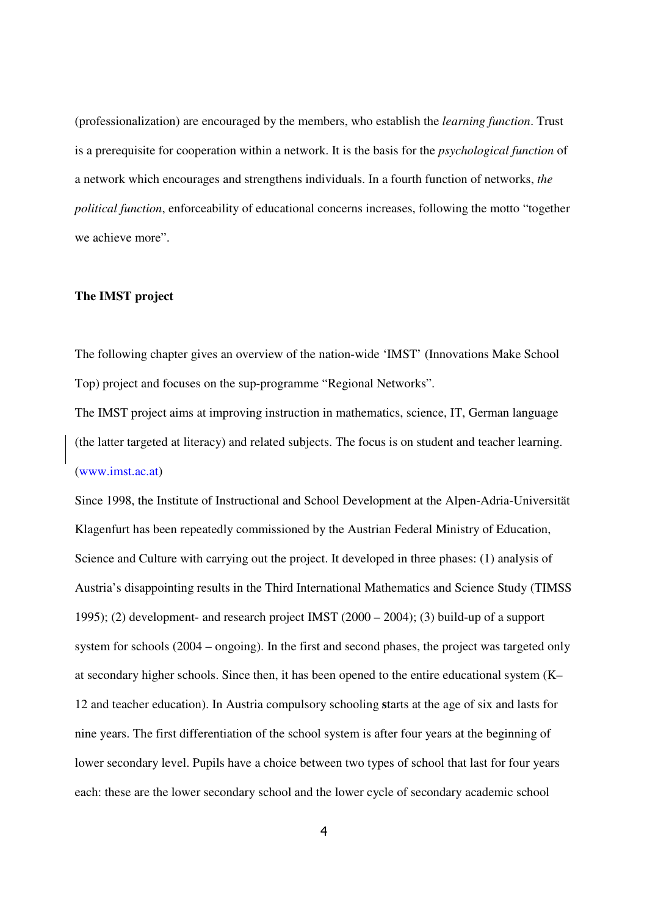(professionalization) are encouraged by the members, who establish the *learning function*. Trust is a prerequisite for cooperation within a network. It is the basis for the *psychological function* of a network which encourages and strengthens individuals. In a fourth function of networks, *the political function*, enforceability of educational concerns increases, following the motto "together we achieve more".

# **The IMST project**

The following chapter gives an overview of the nation-wide 'IMST' (Innovations Make School Top) project and focuses on the sup-programme "Regional Networks".

The IMST project aims at improving instruction in mathematics, science, IT, German language (the latter targeted at literacy) and related subjects. The focus is on student and teacher learning. (www.imst.ac.at)

Since 1998, the Institute of Instructional and School Development at the Alpen-Adria-Universität Klagenfurt has been repeatedly commissioned by the Austrian Federal Ministry of Education, Science and Culture with carrying out the project. It developed in three phases: (1) analysis of Austria's disappointing results in the Third International Mathematics and Science Study (TIMSS 1995); (2) development- and research project IMST (2000 – 2004); (3) build-up of a support system for schools (2004 – ongoing). In the first and second phases, the project was targeted only at secondary higher schools. Since then, it has been opened to the entire educational system (K– 12 and teacher education). In Austria compulsory schooling **s**tarts at the age of six and lasts for nine years. The first differentiation of the school system is after four years at the beginning of lower secondary level. Pupils have a choice between two types of school that last for four years each: these are the lower secondary school and the lower cycle of secondary academic school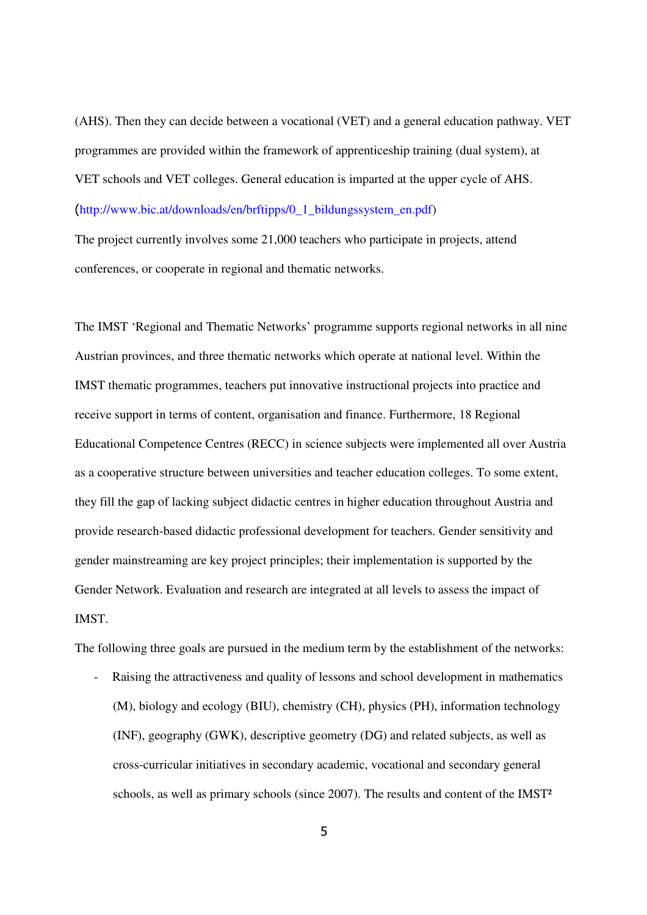(AHS). Then they can decide between a vocational (VET) and a general education pathway. VET programmes are provided within the framework of apprenticeship training (dual system), at VET schools and VET colleges. General education is imparted at the upper cycle of AHS. (http://www.bic.at/downloads/en/brftipps/0\_1\_bildungssystem\_en.pdf)

The project currently involves some 21,000 teachers who participate in projects, attend conferences, or cooperate in regional and thematic networks.

The IMST 'Regional and Thematic Networks' programme supports regional networks in all nine Austrian provinces, and three thematic networks which operate at national level. Within the IMST thematic programmes, teachers put innovative instructional projects into practice and receive support in terms of content, organisation and finance. Furthermore, 18 Regional Educational Competence Centres (RECC) in science subjects were implemented all over Austria as a cooperative structure between universities and teacher education colleges. To some extent, they fill the gap of lacking subject didactic centres in higher education throughout Austria and provide research-based didactic professional development for teachers. Gender sensitivity and gender mainstreaming are key project principles; their implementation is supported by the Gender Network. Evaluation and research are integrated at all levels to assess the impact of IMST.

The following three goals are pursued in the medium term by the establishment of the networks:

Raising the attractiveness and quality of lessons and school development in mathematics (M), biology and ecology (BIU), chemistry (CH), physics (PH), information technology (INF), geography (GWK), descriptive geometry (DG) and related subjects, as well as cross-curricular initiatives in secondary academic, vocational and secondary general schools, as well as primary schools (since 2007). The results and content of the IMST<sup>2</sup>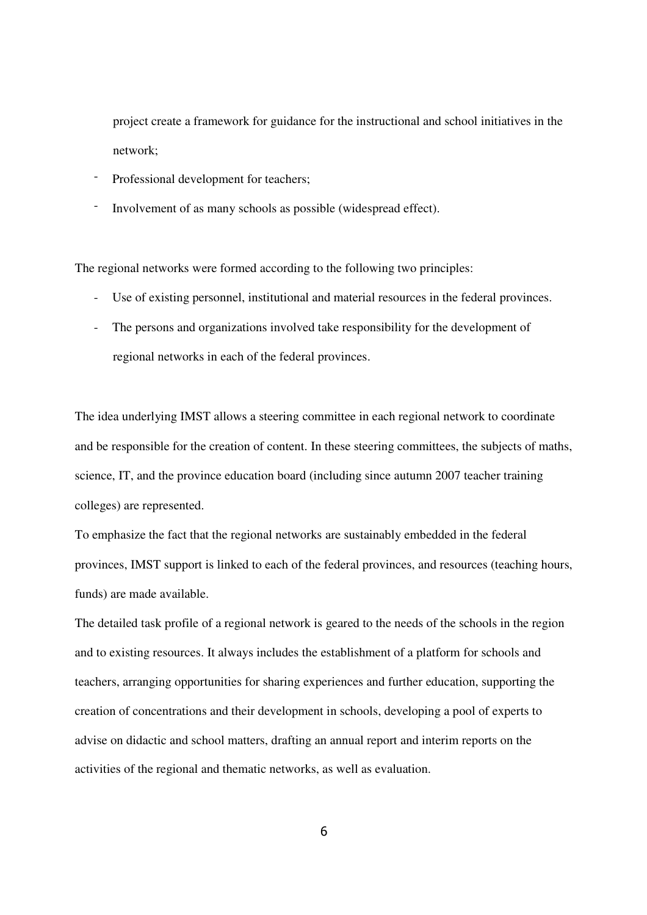project create a framework for guidance for the instructional and school initiatives in the network;

- Professional development for teachers:
- Involvement of as many schools as possible (widespread effect).

The regional networks were formed according to the following two principles:

- Use of existing personnel, institutional and material resources in the federal provinces.
- The persons and organizations involved take responsibility for the development of regional networks in each of the federal provinces.

The idea underlying IMST allows a steering committee in each regional network to coordinate and be responsible for the creation of content. In these steering committees, the subjects of maths, science, IT, and the province education board (including since autumn 2007 teacher training colleges) are represented.

To emphasize the fact that the regional networks are sustainably embedded in the federal provinces, IMST support is linked to each of the federal provinces, and resources (teaching hours, funds) are made available.

The detailed task profile of a regional network is geared to the needs of the schools in the region and to existing resources. It always includes the establishment of a platform for schools and teachers, arranging opportunities for sharing experiences and further education, supporting the creation of concentrations and their development in schools, developing a pool of experts to advise on didactic and school matters, drafting an annual report and interim reports on the activities of the regional and thematic networks, as well as evaluation.

6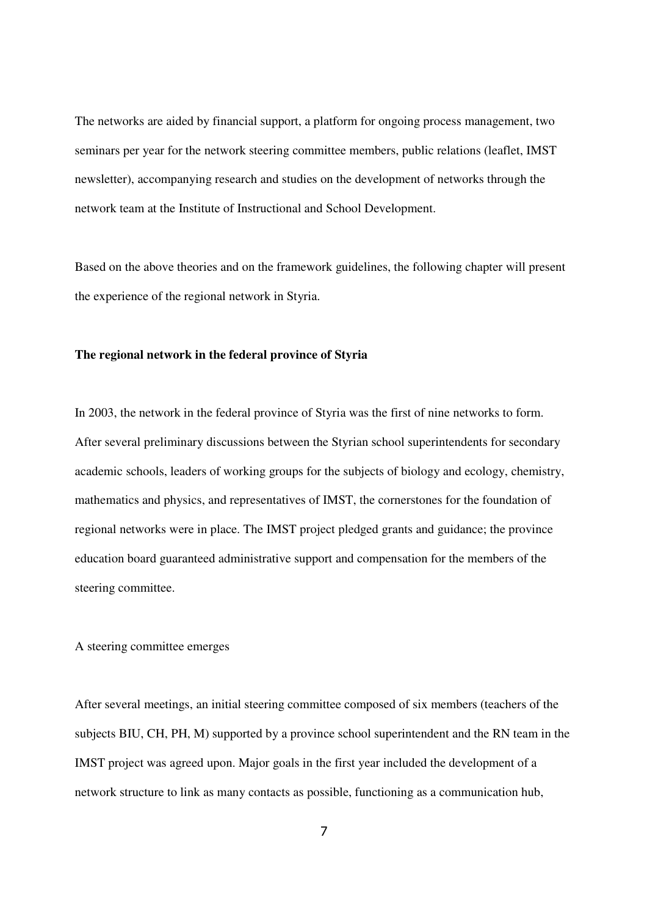The networks are aided by financial support, a platform for ongoing process management, two seminars per year for the network steering committee members, public relations (leaflet, IMST newsletter), accompanying research and studies on the development of networks through the network team at the Institute of Instructional and School Development.

Based on the above theories and on the framework guidelines, the following chapter will present the experience of the regional network in Styria.

# **The regional network in the federal province of Styria**

In 2003, the network in the federal province of Styria was the first of nine networks to form. After several preliminary discussions between the Styrian school superintendents for secondary academic schools, leaders of working groups for the subjects of biology and ecology, chemistry, mathematics and physics, and representatives of IMST, the cornerstones for the foundation of regional networks were in place. The IMST project pledged grants and guidance; the province education board guaranteed administrative support and compensation for the members of the steering committee.

## A steering committee emerges

After several meetings, an initial steering committee composed of six members (teachers of the subjects BIU, CH, PH, M) supported by a province school superintendent and the RN team in the IMST project was agreed upon. Major goals in the first year included the development of a network structure to link as many contacts as possible, functioning as a communication hub,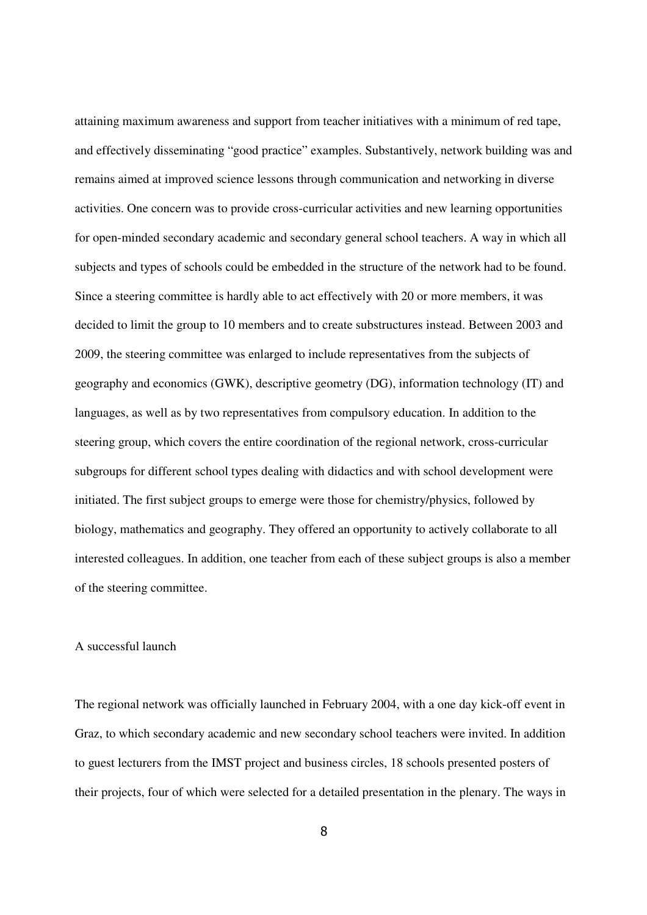attaining maximum awareness and support from teacher initiatives with a minimum of red tape, and effectively disseminating "good practice" examples. Substantively, network building was and remains aimed at improved science lessons through communication and networking in diverse activities. One concern was to provide cross-curricular activities and new learning opportunities for open-minded secondary academic and secondary general school teachers. A way in which all subjects and types of schools could be embedded in the structure of the network had to be found. Since a steering committee is hardly able to act effectively with 20 or more members, it was decided to limit the group to 10 members and to create substructures instead. Between 2003 and 2009, the steering committee was enlarged to include representatives from the subjects of geography and economics (GWK), descriptive geometry (DG), information technology (IT) and languages, as well as by two representatives from compulsory education. In addition to the steering group, which covers the entire coordination of the regional network, cross-curricular subgroups for different school types dealing with didactics and with school development were initiated. The first subject groups to emerge were those for chemistry/physics, followed by biology, mathematics and geography. They offered an opportunity to actively collaborate to all interested colleagues. In addition, one teacher from each of these subject groups is also a member of the steering committee.

#### A successful launch

The regional network was officially launched in February 2004, with a one day kick-off event in Graz, to which secondary academic and new secondary school teachers were invited. In addition to guest lecturers from the IMST project and business circles, 18 schools presented posters of their projects, four of which were selected for a detailed presentation in the plenary. The ways in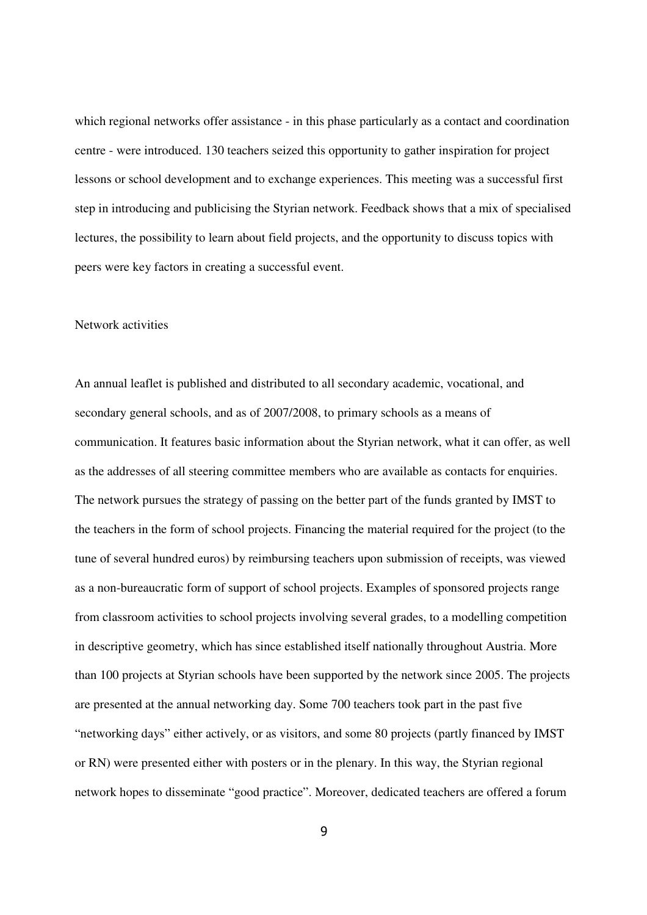which regional networks offer assistance - in this phase particularly as a contact and coordination centre - were introduced. 130 teachers seized this opportunity to gather inspiration for project lessons or school development and to exchange experiences. This meeting was a successful first step in introducing and publicising the Styrian network. Feedback shows that a mix of specialised lectures, the possibility to learn about field projects, and the opportunity to discuss topics with peers were key factors in creating a successful event.

## Network activities

An annual leaflet is published and distributed to all secondary academic, vocational, and secondary general schools, and as of 2007/2008, to primary schools as a means of communication. It features basic information about the Styrian network, what it can offer, as well as the addresses of all steering committee members who are available as contacts for enquiries. The network pursues the strategy of passing on the better part of the funds granted by IMST to the teachers in the form of school projects. Financing the material required for the project (to the tune of several hundred euros) by reimbursing teachers upon submission of receipts, was viewed as a non-bureaucratic form of support of school projects. Examples of sponsored projects range from classroom activities to school projects involving several grades, to a modelling competition in descriptive geometry, which has since established itself nationally throughout Austria. More than 100 projects at Styrian schools have been supported by the network since 2005. The projects are presented at the annual networking day. Some 700 teachers took part in the past five "networking days" either actively, or as visitors, and some 80 projects (partly financed by IMST or RN) were presented either with posters or in the plenary. In this way, the Styrian regional network hopes to disseminate "good practice". Moreover, dedicated teachers are offered a forum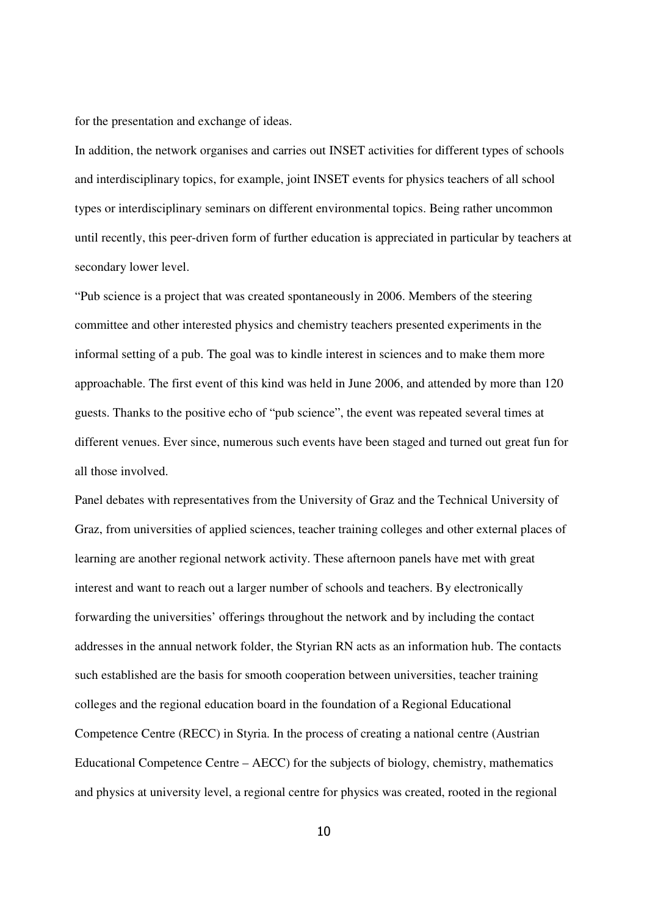for the presentation and exchange of ideas.

In addition, the network organises and carries out INSET activities for different types of schools and interdisciplinary topics, for example, joint INSET events for physics teachers of all school types or interdisciplinary seminars on different environmental topics. Being rather uncommon until recently, this peer-driven form of further education is appreciated in particular by teachers at secondary lower level.

"Pub science is a project that was created spontaneously in 2006. Members of the steering committee and other interested physics and chemistry teachers presented experiments in the informal setting of a pub. The goal was to kindle interest in sciences and to make them more approachable. The first event of this kind was held in June 2006, and attended by more than 120 guests. Thanks to the positive echo of "pub science", the event was repeated several times at different venues. Ever since, numerous such events have been staged and turned out great fun for all those involved.

Panel debates with representatives from the University of Graz and the Technical University of Graz, from universities of applied sciences, teacher training colleges and other external places of learning are another regional network activity. These afternoon panels have met with great interest and want to reach out a larger number of schools and teachers. By electronically forwarding the universities' offerings throughout the network and by including the contact addresses in the annual network folder, the Styrian RN acts as an information hub. The contacts such established are the basis for smooth cooperation between universities, teacher training colleges and the regional education board in the foundation of a Regional Educational Competence Centre (RECC) in Styria. In the process of creating a national centre (Austrian Educational Competence Centre – AECC) for the subjects of biology, chemistry, mathematics and physics at university level, a regional centre for physics was created, rooted in the regional

10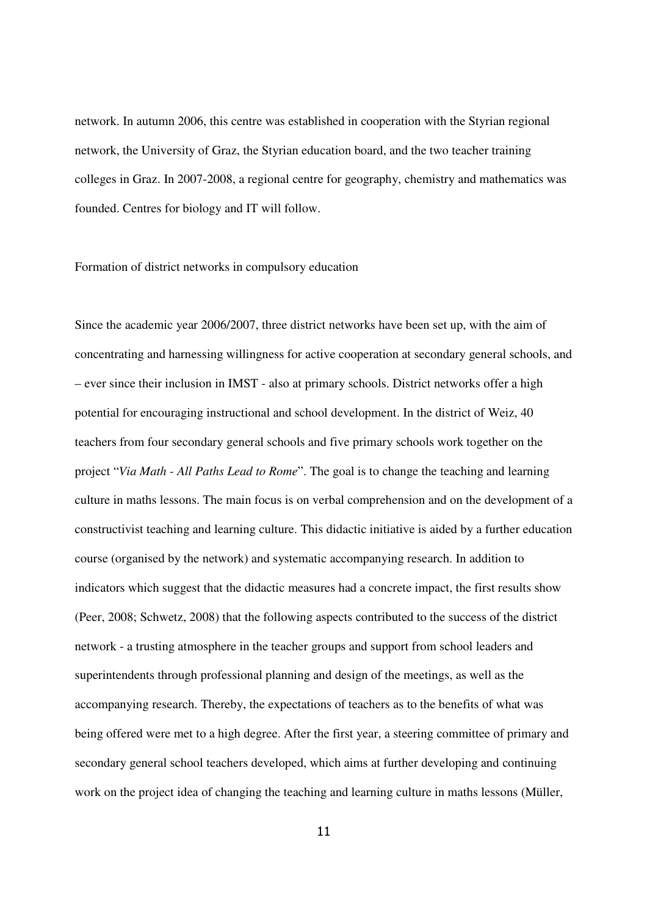network. In autumn 2006, this centre was established in cooperation with the Styrian regional network, the University of Graz, the Styrian education board, and the two teacher training colleges in Graz. In 2007-2008, a regional centre for geography, chemistry and mathematics was founded. Centres for biology and IT will follow.

# Formation of district networks in compulsory education

Since the academic year 2006/2007, three district networks have been set up, with the aim of concentrating and harnessing willingness for active cooperation at secondary general schools, and – ever since their inclusion in IMST - also at primary schools. District networks offer a high potential for encouraging instructional and school development. In the district of Weiz, 40 teachers from four secondary general schools and five primary schools work together on the project "*Via Math - All Paths Lead to Rome*". The goal is to change the teaching and learning culture in maths lessons. The main focus is on verbal comprehension and on the development of a constructivist teaching and learning culture. This didactic initiative is aided by a further education course (organised by the network) and systematic accompanying research. In addition to indicators which suggest that the didactic measures had a concrete impact, the first results show (Peer, 2008; Schwetz, 2008) that the following aspects contributed to the success of the district network - a trusting atmosphere in the teacher groups and support from school leaders and superintendents through professional planning and design of the meetings, as well as the accompanying research. Thereby, the expectations of teachers as to the benefits of what was being offered were met to a high degree. After the first year, a steering committee of primary and secondary general school teachers developed, which aims at further developing and continuing work on the project idea of changing the teaching and learning culture in maths lessons (Müller,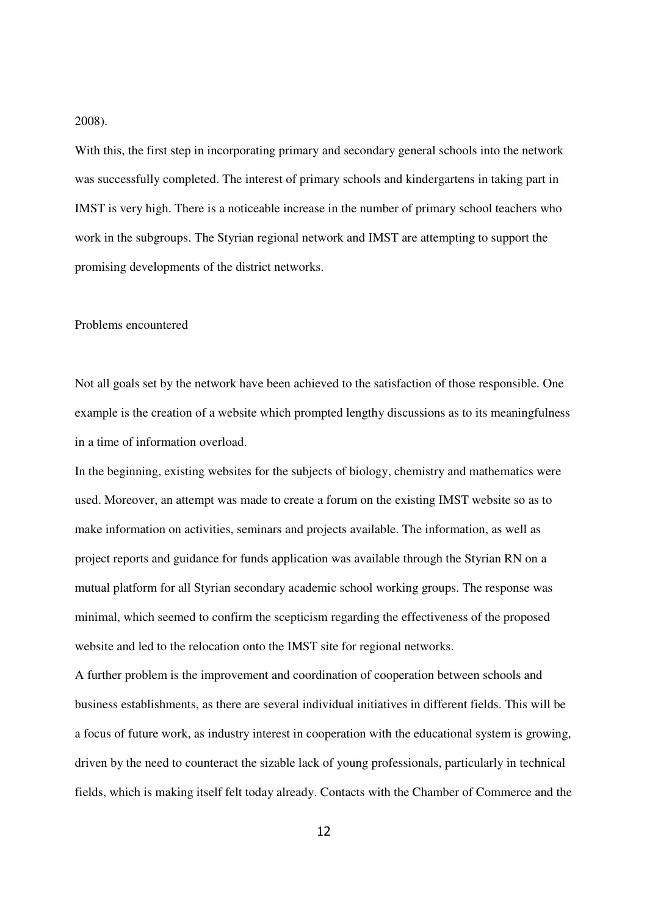#### 2008).

With this, the first step in incorporating primary and secondary general schools into the network was successfully completed. The interest of primary schools and kindergartens in taking part in IMST is very high. There is a noticeable increase in the number of primary school teachers who work in the subgroups. The Styrian regional network and IMST are attempting to support the promising developments of the district networks.

## Problems encountered

Not all goals set by the network have been achieved to the satisfaction of those responsible. One example is the creation of a website which prompted lengthy discussions as to its meaningfulness in a time of information overload.

In the beginning, existing websites for the subjects of biology, chemistry and mathematics were used. Moreover, an attempt was made to create a forum on the existing IMST website so as to make information on activities, seminars and projects available. The information, as well as project reports and guidance for funds application was available through the Styrian RN on a mutual platform for all Styrian secondary academic school working groups. The response was minimal, which seemed to confirm the scepticism regarding the effectiveness of the proposed website and led to the relocation onto the IMST site for regional networks.

A further problem is the improvement and coordination of cooperation between schools and business establishments, as there are several individual initiatives in different fields. This will be a focus of future work, as industry interest in cooperation with the educational system is growing, driven by the need to counteract the sizable lack of young professionals, particularly in technical fields, which is making itself felt today already. Contacts with the Chamber of Commerce and the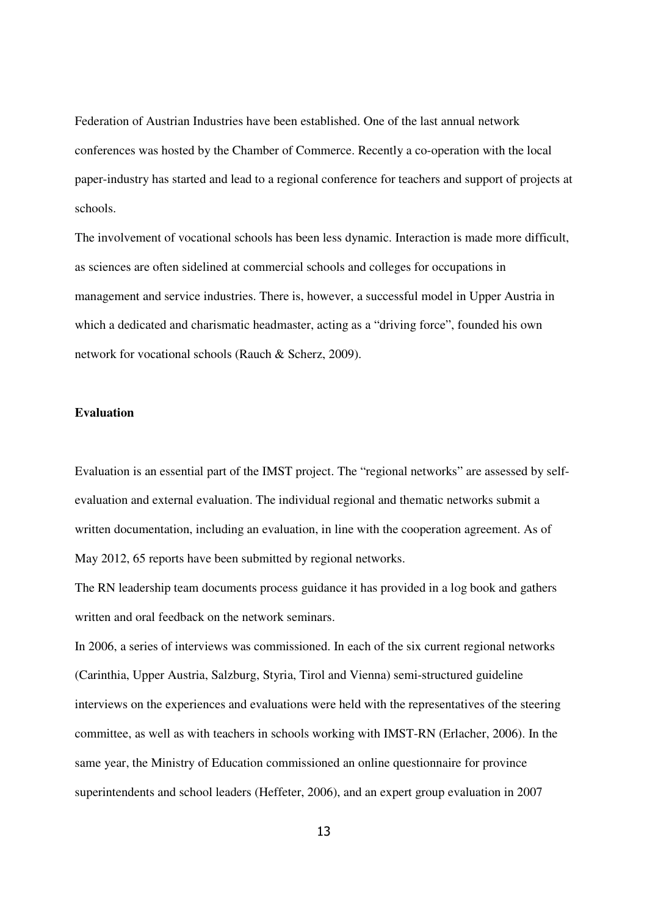Federation of Austrian Industries have been established. One of the last annual network conferences was hosted by the Chamber of Commerce. Recently a co-operation with the local paper-industry has started and lead to a regional conference for teachers and support of projects at schools.

The involvement of vocational schools has been less dynamic. Interaction is made more difficult, as sciences are often sidelined at commercial schools and colleges for occupations in management and service industries. There is, however, a successful model in Upper Austria in which a dedicated and charismatic headmaster, acting as a "driving force", founded his own network for vocational schools (Rauch & Scherz, 2009).

# **Evaluation**

Evaluation is an essential part of the IMST project. The "regional networks" are assessed by selfevaluation and external evaluation. The individual regional and thematic networks submit a written documentation, including an evaluation, in line with the cooperation agreement. As of May 2012, 65 reports have been submitted by regional networks.

The RN leadership team documents process guidance it has provided in a log book and gathers written and oral feedback on the network seminars.

In 2006, a series of interviews was commissioned. In each of the six current regional networks (Carinthia, Upper Austria, Salzburg, Styria, Tirol and Vienna) semi-structured guideline interviews on the experiences and evaluations were held with the representatives of the steering committee, as well as with teachers in schools working with IMST-RN (Erlacher, 2006). In the same year, the Ministry of Education commissioned an online questionnaire for province superintendents and school leaders (Heffeter, 2006), and an expert group evaluation in 2007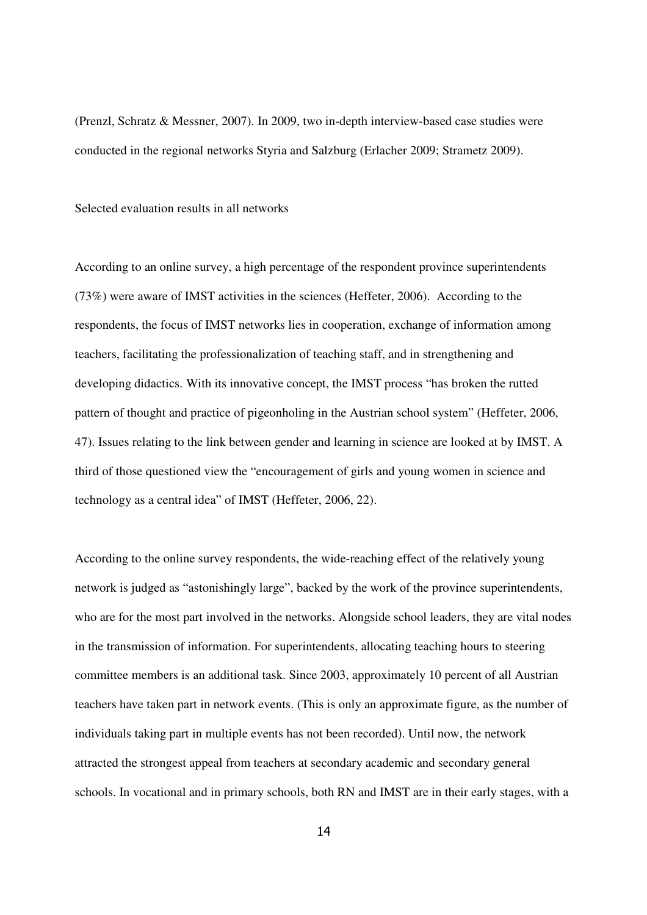(Prenzl, Schratz & Messner, 2007). In 2009, two in-depth interview-based case studies were conducted in the regional networks Styria and Salzburg (Erlacher 2009; Strametz 2009).

Selected evaluation results in all networks

According to an online survey, a high percentage of the respondent province superintendents (73%) were aware of IMST activities in the sciences (Heffeter, 2006). According to the respondents, the focus of IMST networks lies in cooperation, exchange of information among teachers, facilitating the professionalization of teaching staff, and in strengthening and developing didactics. With its innovative concept, the IMST process "has broken the rutted pattern of thought and practice of pigeonholing in the Austrian school system" (Heffeter, 2006, 47). Issues relating to the link between gender and learning in science are looked at by IMST. A third of those questioned view the "encouragement of girls and young women in science and technology as a central idea" of IMST (Heffeter, 2006, 22).

According to the online survey respondents, the wide-reaching effect of the relatively young network is judged as "astonishingly large", backed by the work of the province superintendents, who are for the most part involved in the networks. Alongside school leaders, they are vital nodes in the transmission of information. For superintendents, allocating teaching hours to steering committee members is an additional task. Since 2003, approximately 10 percent of all Austrian teachers have taken part in network events. (This is only an approximate figure, as the number of individuals taking part in multiple events has not been recorded). Until now, the network attracted the strongest appeal from teachers at secondary academic and secondary general schools. In vocational and in primary schools, both RN and IMST are in their early stages, with a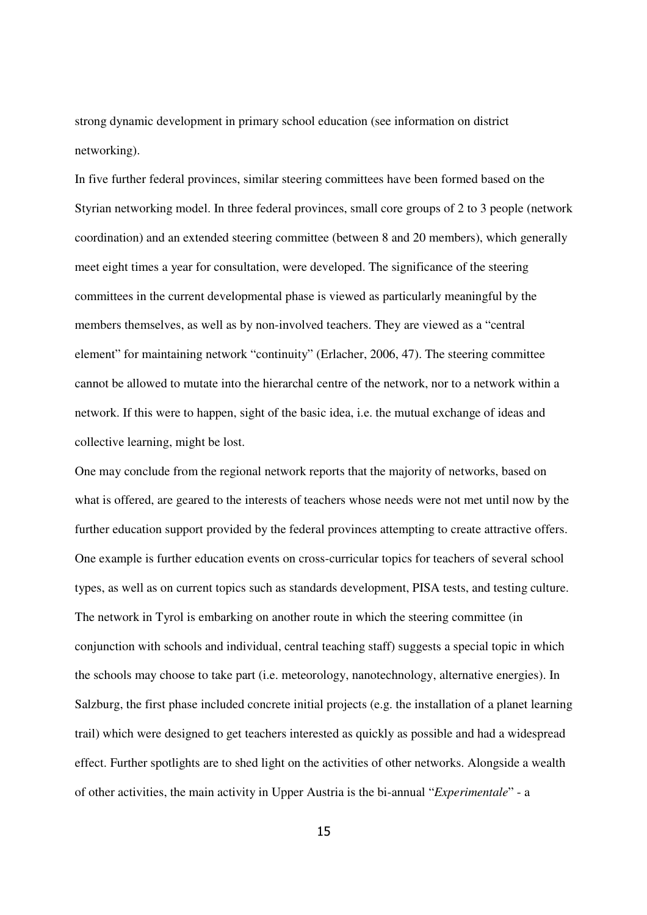strong dynamic development in primary school education (see information on district networking).

In five further federal provinces, similar steering committees have been formed based on the Styrian networking model. In three federal provinces, small core groups of 2 to 3 people (network coordination) and an extended steering committee (between 8 and 20 members), which generally meet eight times a year for consultation, were developed. The significance of the steering committees in the current developmental phase is viewed as particularly meaningful by the members themselves, as well as by non-involved teachers. They are viewed as a "central element" for maintaining network "continuity" (Erlacher, 2006, 47). The steering committee cannot be allowed to mutate into the hierarchal centre of the network, nor to a network within a network. If this were to happen, sight of the basic idea, i.e. the mutual exchange of ideas and collective learning, might be lost.

One may conclude from the regional network reports that the majority of networks, based on what is offered, are geared to the interests of teachers whose needs were not met until now by the further education support provided by the federal provinces attempting to create attractive offers. One example is further education events on cross-curricular topics for teachers of several school types, as well as on current topics such as standards development, PISA tests, and testing culture. The network in Tyrol is embarking on another route in which the steering committee (in conjunction with schools and individual, central teaching staff) suggests a special topic in which the schools may choose to take part (i.e. meteorology, nanotechnology, alternative energies). In Salzburg, the first phase included concrete initial projects (e.g. the installation of a planet learning trail) which were designed to get teachers interested as quickly as possible and had a widespread effect. Further spotlights are to shed light on the activities of other networks. Alongside a wealth of other activities, the main activity in Upper Austria is the bi-annual "*Experimentale*" - a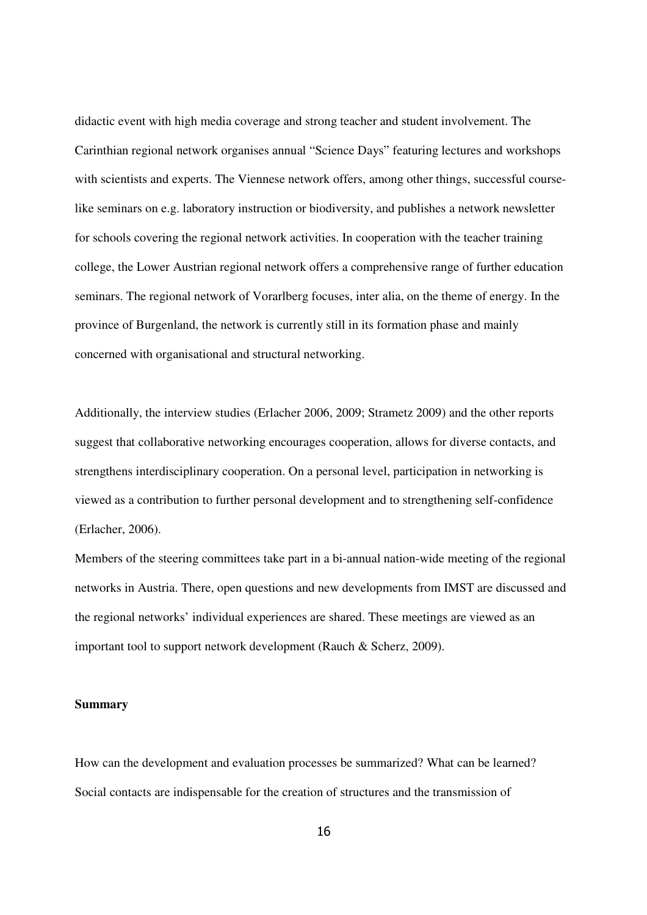didactic event with high media coverage and strong teacher and student involvement. The Carinthian regional network organises annual "Science Days" featuring lectures and workshops with scientists and experts. The Viennese network offers, among other things, successful courselike seminars on e.g. laboratory instruction or biodiversity, and publishes a network newsletter for schools covering the regional network activities. In cooperation with the teacher training college, the Lower Austrian regional network offers a comprehensive range of further education seminars. The regional network of Vorarlberg focuses, inter alia, on the theme of energy. In the province of Burgenland, the network is currently still in its formation phase and mainly concerned with organisational and structural networking.

Additionally, the interview studies (Erlacher 2006, 2009; Strametz 2009) and the other reports suggest that collaborative networking encourages cooperation, allows for diverse contacts, and strengthens interdisciplinary cooperation. On a personal level, participation in networking is viewed as a contribution to further personal development and to strengthening self-confidence (Erlacher, 2006).

Members of the steering committees take part in a bi-annual nation-wide meeting of the regional networks in Austria. There, open questions and new developments from IMST are discussed and the regional networks' individual experiences are shared. These meetings are viewed as an important tool to support network development (Rauch & Scherz, 2009).

#### **Summary**

How can the development and evaluation processes be summarized? What can be learned? Social contacts are indispensable for the creation of structures and the transmission of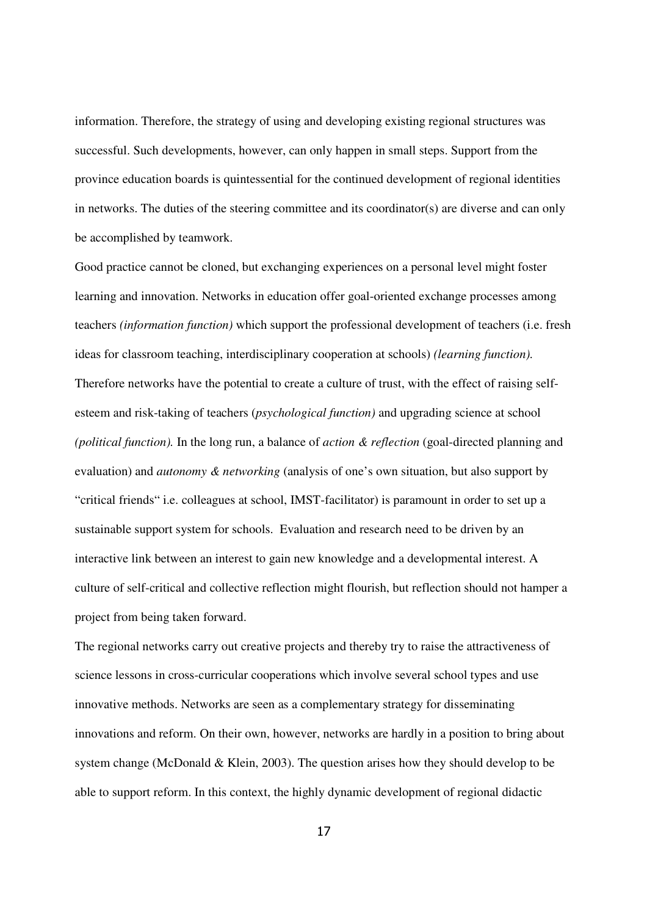information. Therefore, the strategy of using and developing existing regional structures was successful. Such developments, however, can only happen in small steps. Support from the province education boards is quintessential for the continued development of regional identities in networks. The duties of the steering committee and its coordinator(s) are diverse and can only be accomplished by teamwork.

Good practice cannot be cloned, but exchanging experiences on a personal level might foster learning and innovation. Networks in education offer goal-oriented exchange processes among teachers *(information function)* which support the professional development of teachers (i.e. fresh ideas for classroom teaching, interdisciplinary cooperation at schools) *(learning function).* Therefore networks have the potential to create a culture of trust, with the effect of raising selfesteem and risk-taking of teachers (*psychological function)* and upgrading science at school *(political function).* In the long run, a balance of *action & reflection* (goal-directed planning and evaluation) and *autonomy & networking* (analysis of one's own situation, but also support by "critical friends" i.e. colleagues at school, IMST-facilitator) is paramount in order to set up a sustainable support system for schools. Evaluation and research need to be driven by an interactive link between an interest to gain new knowledge and a developmental interest. A culture of self-critical and collective reflection might flourish, but reflection should not hamper a project from being taken forward.

The regional networks carry out creative projects and thereby try to raise the attractiveness of science lessons in cross-curricular cooperations which involve several school types and use innovative methods. Networks are seen as a complementary strategy for disseminating innovations and reform. On their own, however, networks are hardly in a position to bring about system change (McDonald & Klein, 2003). The question arises how they should develop to be able to support reform. In this context, the highly dynamic development of regional didactic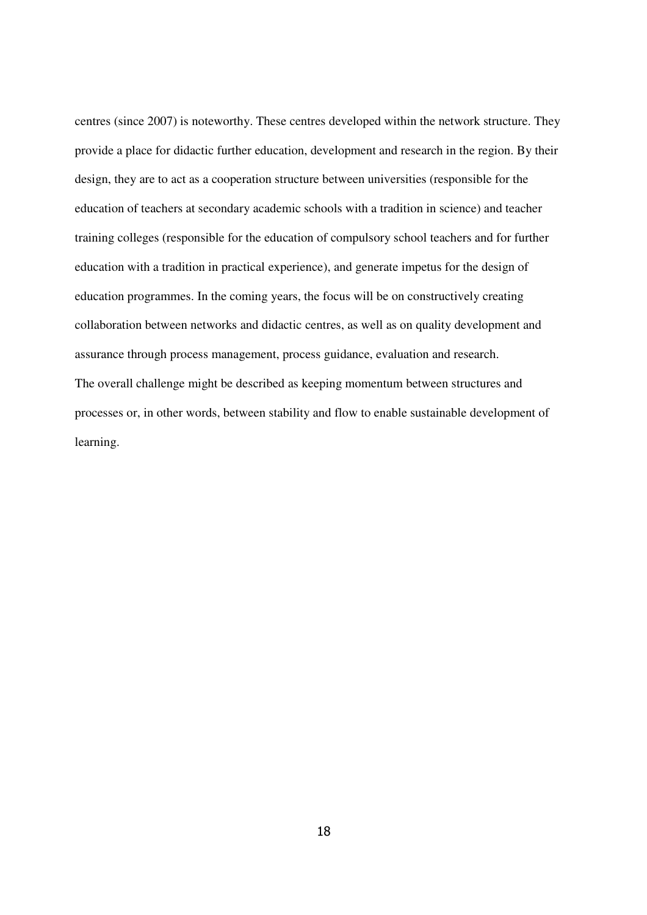centres (since 2007) is noteworthy. These centres developed within the network structure. They provide a place for didactic further education, development and research in the region. By their design, they are to act as a cooperation structure between universities (responsible for the education of teachers at secondary academic schools with a tradition in science) and teacher training colleges (responsible for the education of compulsory school teachers and for further education with a tradition in practical experience), and generate impetus for the design of education programmes. In the coming years, the focus will be on constructively creating collaboration between networks and didactic centres, as well as on quality development and assurance through process management, process guidance, evaluation and research. The overall challenge might be described as keeping momentum between structures and processes or, in other words, between stability and flow to enable sustainable development of learning.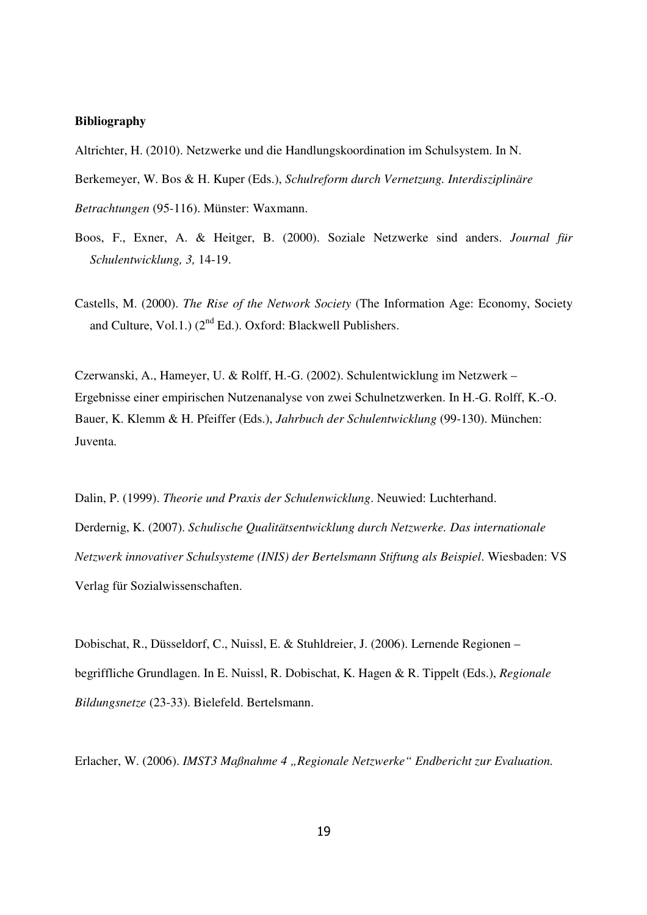#### **Bibliography**

Altrichter, H. (2010). Netzwerke und die Handlungskoordination im Schulsystem. In N.

Berkemeyer, W. Bos & H. Kuper (Eds.), *Schulreform durch Vernetzung. Interdisziplinäre* 

*Betrachtungen* (95-116). Münster: Waxmann.

- Boos, F., Exner, A. & Heitger, B. (2000). Soziale Netzwerke sind anders. *Journal für Schulentwicklung, 3,* 14-19.
- Castells, M. (2000). *The Rise of the Network Society* (The Information Age: Economy, Society and Culture, Vol.1.)  $(2^{nd} Ed.)$ . Oxford: Blackwell Publishers.

Czerwanski, A., Hameyer, U. & Rolff, H.-G. (2002). Schulentwicklung im Netzwerk – Ergebnisse einer empirischen Nutzenanalyse von zwei Schulnetzwerken. In H.-G. Rolff, K.-O. Bauer, K. Klemm & H. Pfeiffer (Eds.), *Jahrbuch der Schulentwicklung* (99-130). München: Juventa.

Dalin, P. (1999). *Theorie und Praxis der Schulenwicklung*. Neuwied: Luchterhand. Derdernig, K. (2007). *Schulische Qualitätsentwicklung durch Netzwerke. Das internationale Netzwerk innovativer Schulsysteme (INIS) der Bertelsmann Stiftung als Beispiel*. Wiesbaden: VS Verlag für Sozialwissenschaften.

Dobischat, R., Düsseldorf, C., Nuissl, E. & Stuhldreier, J. (2006). Lernende Regionen – begriffliche Grundlagen. In E. Nuissl, R. Dobischat, K. Hagen & R. Tippelt (Eds.), *Regionale Bildungsnetze* (23-33). Bielefeld. Bertelsmann.

Erlacher, W. (2006). *IMST3 Maßnahme 4 "Regionale Netzwerke" Endbericht zur Evaluation.*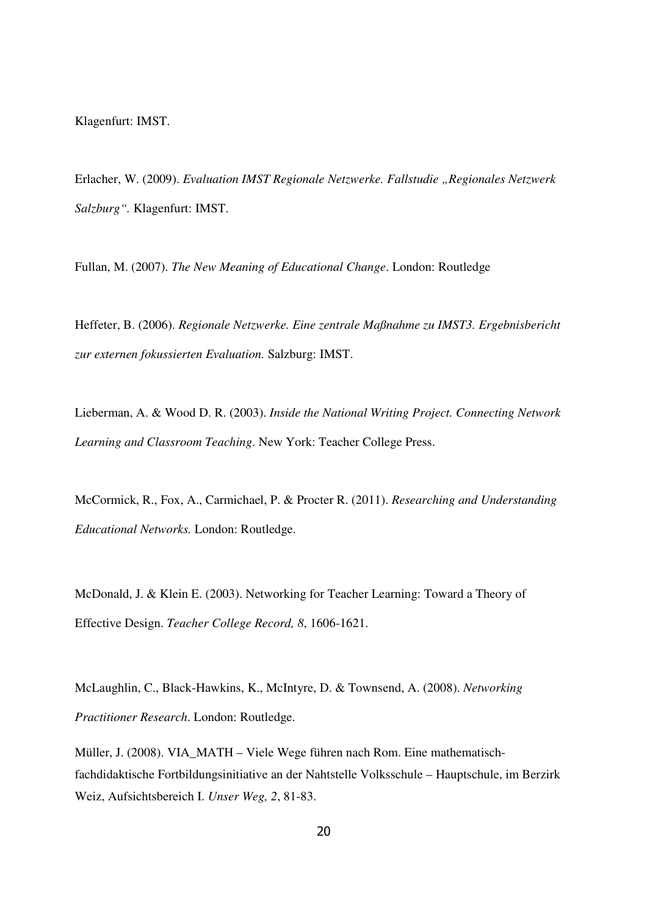Klagenfurt: IMST.

Erlacher, W. (2009). *Evaluation IMST Regionale Netzwerke. Fallstudie "Regionales Netzwerk Salzburg".* Klagenfurt: IMST.

Fullan, M. (2007). *The New Meaning of Educational Change*. London: Routledge

Heffeter, B. (2006). *Regionale Netzwerke. Eine zentrale Maßnahme zu IMST3. Ergebnisbericht zur externen fokussierten Evaluation.* Salzburg: IMST.

Lieberman, A. & Wood D. R. (2003). *Inside the National Writing Project. Connecting Network Learning and Classroom Teaching*. New York: Teacher College Press.

McCormick, R., Fox, A., Carmichael, P. & Procter R. (2011). *Researching and Understanding Educational Networks.* London: Routledge.

McDonald, J. & Klein E. (2003). Networking for Teacher Learning: Toward a Theory of Effective Design. *Teacher College Record, 8*, 1606-1621.

McLaughlin, C., Black-Hawkins, K., McIntyre, D. & Townsend, A. (2008). *Networking Practitioner Research*. London: Routledge.

Müller, J. (2008). VIA\_MATH – Viele Wege führen nach Rom. Eine mathematischfachdidaktische Fortbildungsinitiative an der Nahtstelle Volksschule – Hauptschule, im Berzirk Weiz, Aufsichtsbereich I. *Unser Weg, 2*, 81-83.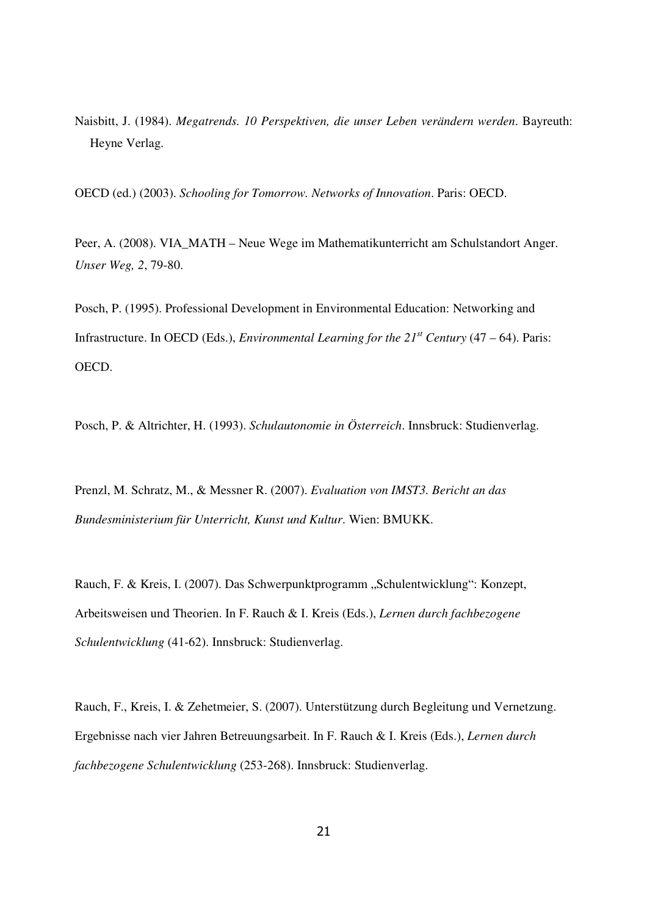Naisbitt, J. (1984). *Megatrends. 10 Perspektiven, die unser Leben verändern werden*. Bayreuth: Heyne Verlag.

OECD (ed.) (2003). *Schooling for Tomorrow. Networks of Innovation*. Paris: OECD.

Peer, A. (2008). VIA\_MATH – Neue Wege im Mathematikunterricht am Schulstandort Anger. *Unser Weg, 2*, 79-80.

Posch, P. (1995). Professional Development in Environmental Education: Networking and Infrastructure. In OECD (Eds.), *Environmental Learning for the*  $21<sup>st</sup>$  *Century* (47 – 64). Paris: OECD.

Posch, P. & Altrichter, H. (1993). *Schulautonomie in Österreich*. Innsbruck: Studienverlag.

Prenzl, M. Schratz, M., & Messner R. (2007). *Evaluation von IMST3. Bericht an das Bundesministerium für Unterricht, Kunst und Kultur*. Wien: BMUKK.

Rauch, F. & Kreis, I. (2007). Das Schwerpunktprogramm "Schulentwicklung": Konzept, Arbeitsweisen und Theorien. In F. Rauch & I. Kreis (Eds.), *Lernen durch fachbezogene Schulentwicklung* (41-62). Innsbruck: Studienverlag.

Rauch, F., Kreis, I. & Zehetmeier, S. (2007). Unterstützung durch Begleitung und Vernetzung. Ergebnisse nach vier Jahren Betreuungsarbeit. In F. Rauch & I. Kreis (Eds.), *Lernen durch fachbezogene Schulentwicklung* (253-268). Innsbruck: Studienverlag.